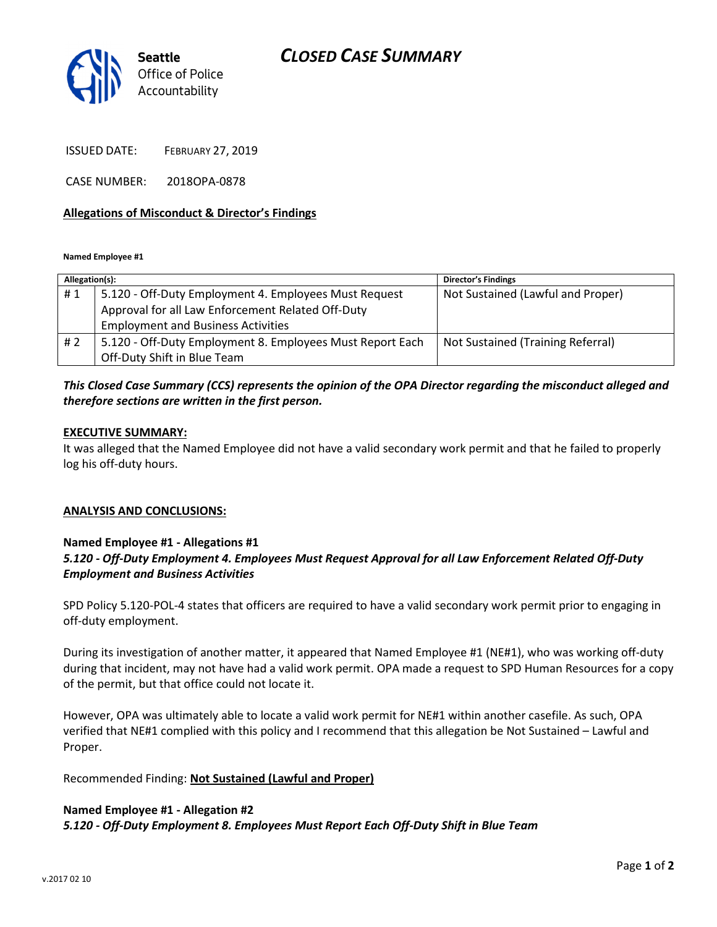## CLOSED CASE SUMMARY



ISSUED DATE: FEBRUARY 27, 2019

CASE NUMBER: 2018OPA-0878

#### Allegations of Misconduct & Director's Findings

Named Employee #1

| Allegation(s): |                                                           | <b>Director's Findings</b>        |
|----------------|-----------------------------------------------------------|-----------------------------------|
| #1             | 5.120 - Off-Duty Employment 4. Employees Must Request     | Not Sustained (Lawful and Proper) |
|                | Approval for all Law Enforcement Related Off-Duty         |                                   |
|                | <b>Employment and Business Activities</b>                 |                                   |
| #2             | 5.120 - Off-Duty Employment 8. Employees Must Report Each | Not Sustained (Training Referral) |
|                | Off-Duty Shift in Blue Team                               |                                   |

### This Closed Case Summary (CCS) represents the opinion of the OPA Director regarding the misconduct alleged and therefore sections are written in the first person.

#### EXECUTIVE SUMMARY:

It was alleged that the Named Employee did not have a valid secondary work permit and that he failed to properly log his off-duty hours.

### ANALYSIS AND CONCLUSIONS:

### Named Employee #1 - Allegations #1 5.120 - Off-Duty Employment 4. Employees Must Request Approval for all Law Enforcement Related Off-Duty Employment and Business Activities

SPD Policy 5.120-POL-4 states that officers are required to have a valid secondary work permit prior to engaging in off-duty employment.

During its investigation of another matter, it appeared that Named Employee #1 (NE#1), who was working off-duty during that incident, may not have had a valid work permit. OPA made a request to SPD Human Resources for a copy of the permit, but that office could not locate it.

However, OPA was ultimately able to locate a valid work permit for NE#1 within another casefile. As such, OPA verified that NE#1 complied with this policy and I recommend that this allegation be Not Sustained – Lawful and Proper.

Recommended Finding: Not Sustained (Lawful and Proper)

### Named Employee #1 - Allegation #2

5.120 - Off-Duty Employment 8. Employees Must Report Each Off-Duty Shift in Blue Team